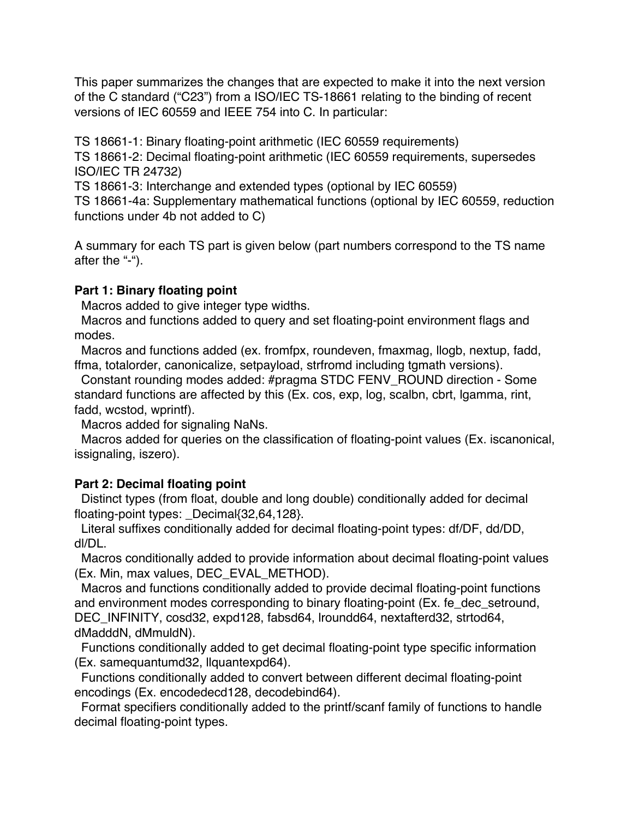This paper summarizes the changes that are expected to make it into the next version of the C standard ("C23") from a ISO/IEC TS-18661 relating to the binding of recent versions of IEC 60559 and IEEE 754 into C. In particular:

TS 18661-1: Binary floating-point arithmetic (IEC 60559 requirements)

TS 18661-2: Decimal floating-point arithmetic (IEC 60559 requirements, supersedes ISO/IEC TR 24732)

TS 18661-3: Interchange and extended types (optional by IEC 60559)

TS 18661-4a: Supplementary mathematical functions (optional by IEC 60559, reduction functions under 4b not added to C)

A summary for each TS part is given below (part numbers correspond to the TS name after the "-").

## **Part 1: Binary floating point**

Macros added to give integer type widths.

 Macros and functions added to query and set floating-point environment flags and modes.

 Macros and functions added (ex. fromfpx, roundeven, fmaxmag, llogb, nextup, fadd, ffma, totalorder, canonicalize, setpayload, strfromd including tgmath versions).

 Constant rounding modes added: #pragma STDC FENV\_ROUND direction - Some standard functions are affected by this (Ex. cos, exp, log, scalbn, cbrt, lgamma, rint, fadd, wcstod, wprintf).

Macros added for signaling NaNs.

 Macros added for queries on the classification of floating-point values (Ex. iscanonical, issignaling, iszero).

## **Part 2: Decimal floating point**

 Distinct types (from float, double and long double) conditionally added for decimal floating-point types: Decimal{32,64,128}.

 Literal suffixes conditionally added for decimal floating-point types: df/DF, dd/DD, dl/DL.

 Macros conditionally added to provide information about decimal floating-point values (Ex. Min, max values, DEC\_EVAL\_METHOD).

 Macros and functions conditionally added to provide decimal floating-point functions and environment modes corresponding to binary floating-point (Ex. fe\_dec\_setround, DEC\_INFINITY, cosd32, expd128, fabsd64, lroundd64, nextafterd32, strtod64, dMadddN, dMmuldN).

 Functions conditionally added to get decimal floating-point type specific information (Ex. samequantumd32, llquantexpd64).

 Functions conditionally added to convert between different decimal floating-point encodings (Ex. encodedecd128, decodebind64).

Format specifiers conditionally added to the printf/scanf family of functions to handle decimal floating-point types.